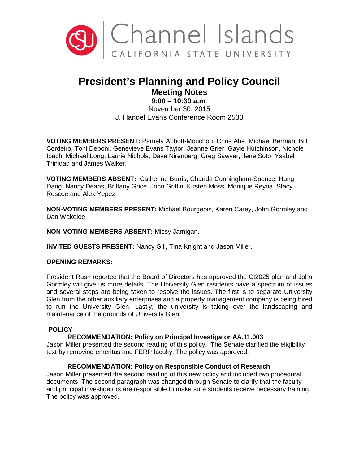

# **President's Planning and Policy Council Meeting Notes**

# **9:00 – 10:30 a.m**.

November 30, 2015 J. Handel Evans Conference Room 2533

**VOTING MEMBERS PRESENT:** Pamela Abbott-Mouchou, Chris Abe, Michael Berman, Bill Cordeiro, Toni Deboni, Genevieve Evans Taylor, Jeanne Grier, Gayle Hutchinson, Nichole Ipach, Michael Long, Laurie Nichols, Dave Nirenberg, Greg Sawyer, Ilene Soto, Ysabel Trinidad and James Walker.

**VOTING MEMBERS ABSENT:** Catherine Burris, Chanda Cunningham-Spence, Hung Dang, Nancy Deans, Brittany Grice, John Griffin, Kirsten Moss, Monique Reyna, Stacy Roscoe and Alex Yepez.

**NON-VOTING MEMBERS PRESENT:** Michael Bourgeois, Karen Carey, John Gormley and Dan Wakelee.

**NON-VOTING MEMBERS ABSENT:** Missy Jarnigan.

**INVITED GUESTS PRESENT:** Nancy Gill, Tina Knight and Jason Miller.

# **OPENING REMARKS:**

President Rush reported that the Board of Directors has approved the CI2025 plan and John Gormley will give us more details. The University Glen residents have a spectrum of issues and several steps are being taken to resolve the issues. The first is to separate University Glen from the other auxiliary enterprises and a property management company is being hired to run the University Glen. Lastly, the university is taking over the landscaping and maintenance of the grounds of University Glen.

# **POLICY**

# **RECOMMENDATION: Policy on Principal Investigator AA.11.003**

Jason Miller presented the second reading of this policy. The Senate clarified the eligibility text by removing emeritus and FERP faculty. The policy was approved.

# **RECOMMENDATION: Policy on Responsible Conduct of Research**

Jason Miller presented the second reading of this new policy and included two procedural documents. The second paragraph was changed through Senate to clarify that the faculty and principal investigators are responsible to make sure students receive necessary training. The policy was approved.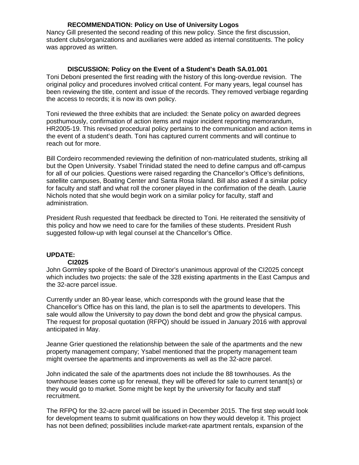# **RECOMMENDATION: Policy on Use of University Logos**

Nancy Gill presented the second reading of this new policy. Since the first discussion, student clubs/organizations and auxiliaries were added as internal constituents. The policy was approved as written.

#### **DISCUSSION: Policy on the Event of a Student's Death SA.01.001**

Toni Deboni presented the first reading with the history of this long-overdue revision. The original policy and procedures involved critical content. For many years, legal counsel has been reviewing the title, content and issue of the records. They removed verbiage regarding the access to records; it is now its own policy.

Toni reviewed the three exhibits that are included: the Senate policy on awarded degrees posthumously, confirmation of action items and major incident reporting memorandum, HR2005-19. This revised procedural policy pertains to the communication and action items in the event of a student's death. Toni has captured current comments and will continue to reach out for more.

Bill Cordeiro recommended reviewing the definition of non-matriculated students, striking all but the Open University. Ysabel Trinidad stated the need to define campus and off-campus for all of our policies. Questions were raised regarding the Chancellor's Office's definitions, satellite campuses, Boating Center and Santa Rosa Island. Bill also asked if a similar policy for faculty and staff and what roll the coroner played in the confirmation of the death. Laurie Nichols noted that she would begin work on a similar policy for faculty, staff and administration.

President Rush requested that feedback be directed to Toni. He reiterated the sensitivity of this policy and how we need to care for the families of these students. President Rush suggested follow-up with legal counsel at the Chancellor's Office.

# **UPDATE:**

#### **CI2025**

John Gormley spoke of the Board of Director's unanimous approval of the CI2025 concept which includes two projects: the sale of the 328 existing apartments in the East Campus and the 32-acre parcel issue.

Currently under an 80-year lease, which corresponds with the ground lease that the Chancellor's Office has on this land, the plan is to sell the apartments to developers. This sale would allow the University to pay down the bond debt and grow the physical campus. The request for proposal quotation (RFPQ) should be issued in January 2016 with approval anticipated in May.

Jeanne Grier questioned the relationship between the sale of the apartments and the new property management company; Ysabel mentioned that the property management team might oversee the apartments and improvements as well as the 32-acre parcel.

John indicated the sale of the apartments does not include the 88 townhouses. As the townhouse leases come up for renewal, they will be offered for sale to current tenant(s) or they would go to market. Some might be kept by the university for faculty and staff recruitment.

The RFPQ for the 32-acre parcel will be issued in December 2015. The first step would look for development teams to submit qualifications on how they would develop it. This project has not been defined; possibilities include market-rate apartment rentals, expansion of the